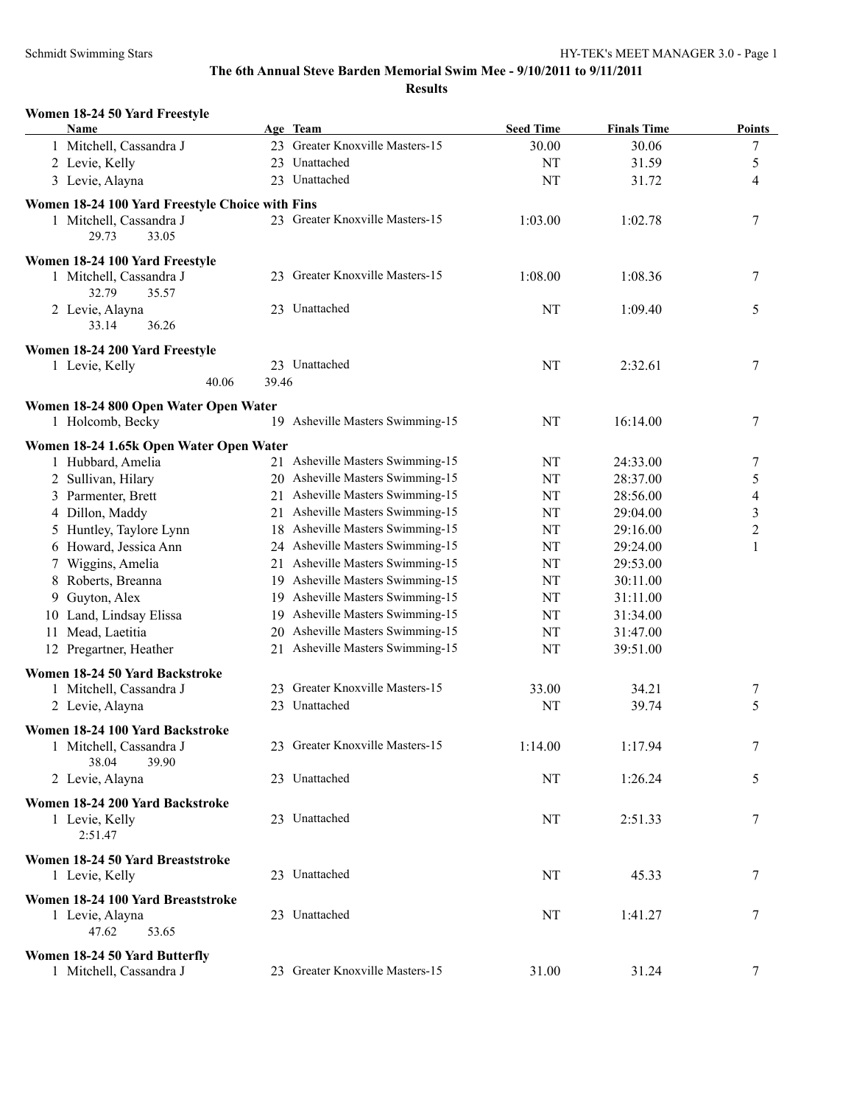**Results**

| Women 18-24 50 Yard Freestyle<br><b>Name</b>    |       | Age Team                         | <b>Seed Time</b> | <b>Finals Time</b> | <b>Points</b>    |
|-------------------------------------------------|-------|----------------------------------|------------------|--------------------|------------------|
| 1 Mitchell, Cassandra J                         |       | 23 Greater Knoxville Masters-15  | 30.00            | 30.06              | 7                |
| 2 Levie, Kelly                                  |       | 23 Unattached                    | NT               | 31.59              | 5                |
| 3 Levie, Alayna                                 |       | 23 Unattached                    | NT               | 31.72              | 4                |
| Women 18-24 100 Yard Freestyle Choice with Fins |       |                                  |                  |                    |                  |
| 1 Mitchell, Cassandra J                         |       | 23 Greater Knoxville Masters-15  | 1:03.00          | 1:02.78            | 7                |
| 29.73<br>33.05                                  |       |                                  |                  |                    |                  |
| Women 18-24 100 Yard Freestyle                  |       |                                  |                  |                    |                  |
| 1 Mitchell, Cassandra J                         |       | 23 Greater Knoxville Masters-15  | 1:08.00          | 1:08.36            | 7                |
| 32.79<br>35.57                                  |       |                                  |                  |                    |                  |
| 2 Levie, Alayna<br>36.26<br>33.14               |       | 23 Unattached                    | NT               | 1:09.40            | 5                |
|                                                 |       |                                  |                  |                    |                  |
| Women 18-24 200 Yard Freestyle                  |       | 23 Unattached                    |                  |                    |                  |
| 1 Levie, Kelly<br>40.06                         | 39.46 |                                  | NT               | 2:32.61            | 7                |
|                                                 |       |                                  |                  |                    |                  |
| Women 18-24 800 Open Water Open Water           |       | 19 Asheville Masters Swimming-15 | NT               |                    |                  |
| 1 Holcomb, Becky                                |       |                                  |                  | 16:14.00           | 7                |
| Women 18-24 1.65k Open Water Open Water         |       |                                  |                  |                    |                  |
| 1 Hubbard, Amelia                               |       | 21 Asheville Masters Swimming-15 | NT               | 24:33.00           | 7                |
| 2 Sullivan, Hilary                              |       | 20 Asheville Masters Swimming-15 | NT               | 28:37.00           | 5                |
| 3 Parmenter, Brett                              |       | 21 Asheville Masters Swimming-15 | NT               | 28:56.00           | 4                |
| 4 Dillon, Maddy                                 |       | 21 Asheville Masters Swimming-15 | NT               | 29:04.00           | 3                |
| 5 Huntley, Taylore Lynn                         |       | 18 Asheville Masters Swimming-15 | NT               | 29:16.00           | $\boldsymbol{2}$ |
| 6 Howard, Jessica Ann                           |       | 24 Asheville Masters Swimming-15 | NT               | 29:24.00           | 1                |
| 7 Wiggins, Amelia                               |       | 21 Asheville Masters Swimming-15 | NT               | 29:53.00           |                  |
| 8 Roberts, Breanna                              |       | 19 Asheville Masters Swimming-15 | NT               | 30:11.00           |                  |
| 9 Guyton, Alex                                  |       | 19 Asheville Masters Swimming-15 | NT               | 31:11.00           |                  |
| 10 Land, Lindsay Elissa                         |       | 19 Asheville Masters Swimming-15 | NT               | 31:34.00           |                  |
| Mead, Laetitia<br>11.                           |       | 20 Asheville Masters Swimming-15 | NT               | 31:47.00           |                  |
| 12 Pregartner, Heather                          |       | 21 Asheville Masters Swimming-15 | NT               | 39:51.00           |                  |
| Women 18-24 50 Yard Backstroke                  |       |                                  |                  |                    |                  |
| 1 Mitchell, Cassandra J                         |       | 23 Greater Knoxville Masters-15  | 33.00            | 34.21              | 7                |
| 2 Levie, Alayna                                 |       | 23 Unattached                    | <b>NT</b>        | 39.74              | 5                |
| Women 18-24 100 Yard Backstroke                 |       |                                  |                  |                    |                  |
| 1 Mitchell, Cassandra J                         |       | 23 Greater Knoxville Masters-15  | 1:14.00          | 1:17.94            | 7                |
| 38.04<br>39.90                                  |       |                                  |                  |                    |                  |
| 2 Levie, Alayna                                 |       | 23 Unattached                    | NT               | 1:26.24            | 5                |
| Women 18-24 200 Yard Backstroke                 |       |                                  |                  |                    |                  |
| 1 Levie, Kelly                                  |       | 23 Unattached                    | NT               | 2:51.33            | 7                |
| 2:51.47                                         |       |                                  |                  |                    |                  |
| Women 18-24 50 Yard Breaststroke                |       |                                  |                  |                    |                  |
| 1 Levie, Kelly                                  |       | 23 Unattached                    | NT               | 45.33              | 7                |
| Women 18-24 100 Yard Breaststroke               |       |                                  |                  |                    |                  |
| 1 Levie, Alayna                                 |       | 23 Unattached                    | NT               | 1:41.27            | 7                |
| 47.62<br>53.65                                  |       |                                  |                  |                    |                  |
| Women 18-24 50 Yard Butterfly                   |       |                                  |                  |                    |                  |
| 1 Mitchell, Cassandra J                         |       | 23 Greater Knoxville Masters-15  | 31.00            | 31.24              | 7                |
|                                                 |       |                                  |                  |                    |                  |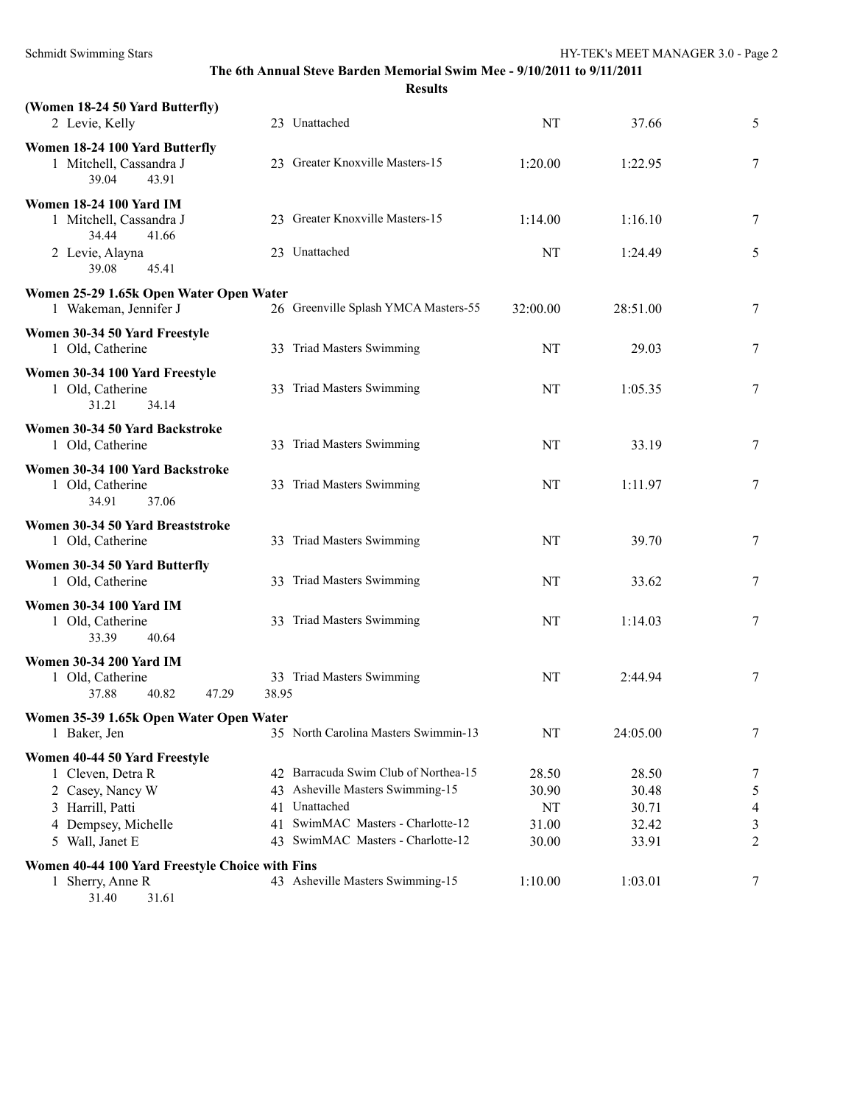| The 6th Annual Steve Barden Memorial Swim Mee - 9/10/2011 to 9/11/2011<br><b>Results</b>                                             |          |                                                                                                                                                               |                                        |                                           |                                    |
|--------------------------------------------------------------------------------------------------------------------------------------|----------|---------------------------------------------------------------------------------------------------------------------------------------------------------------|----------------------------------------|-------------------------------------------|------------------------------------|
| (Women 18-24 50 Yard Butterfly)<br>2 Levie, Kelly                                                                                    |          | 23 Unattached                                                                                                                                                 | NT                                     | 37.66                                     | 5                                  |
| Women 18-24 100 Yard Butterfly<br>1 Mitchell, Cassandra J<br>39.04<br>43.91                                                          |          | 23 Greater Knoxville Masters-15                                                                                                                               | 1:20.00                                | 1:22.95                                   | 7                                  |
| <b>Women 18-24 100 Yard IM</b><br>1 Mitchell, Cassandra J<br>34.44<br>41.66                                                          |          | 23 Greater Knoxville Masters-15                                                                                                                               | 1:14.00                                | 1:16.10                                   | $\tau$                             |
| 2 Levie, Alayna<br>39.08<br>45.41                                                                                                    |          | 23 Unattached                                                                                                                                                 | NT                                     | 1:24.49                                   | 5                                  |
| Women 25-29 1.65k Open Water Open Water<br>1 Wakeman, Jennifer J                                                                     |          | 26 Greenville Splash YMCA Masters-55                                                                                                                          | 32:00.00                               | 28:51.00                                  | 7                                  |
| Women 30-34 50 Yard Freestyle<br>1 Old, Catherine                                                                                    |          | 33 Triad Masters Swimming                                                                                                                                     | NT                                     | 29.03                                     | 7                                  |
| Women 30-34 100 Yard Freestyle<br>1 Old, Catherine<br>31.21<br>34.14                                                                 |          | 33 Triad Masters Swimming                                                                                                                                     | NT                                     | 1:05.35                                   | 7                                  |
| Women 30-34 50 Yard Backstroke<br>1 Old, Catherine                                                                                   |          | 33 Triad Masters Swimming                                                                                                                                     | NT                                     | 33.19                                     | 7                                  |
| Women 30-34 100 Yard Backstroke<br>1 Old, Catherine<br>34.91<br>37.06                                                                |          | 33 Triad Masters Swimming                                                                                                                                     | NT                                     | 1:11.97                                   | 7                                  |
| Women 30-34 50 Yard Breaststroke<br>1 Old, Catherine                                                                                 |          | 33 Triad Masters Swimming                                                                                                                                     | NT                                     | 39.70                                     | 7                                  |
| Women 30-34 50 Yard Butterfly<br>1 Old, Catherine                                                                                    |          | 33 Triad Masters Swimming                                                                                                                                     | NT                                     | 33.62                                     | 7                                  |
| <b>Women 30-34 100 Yard IM</b><br>1 Old, Catherine<br>33.39<br>40.64                                                                 |          | 33 Triad Masters Swimming                                                                                                                                     | NT                                     | 1:14.03                                   | 7                                  |
| <b>Women 30-34 200 Yard IM</b><br>1 Old, Catherine<br>40.82<br>47.29<br>37.88                                                        | 38.95    | 33 Triad Masters Swimming                                                                                                                                     | NT                                     | 2:44.94                                   | 7                                  |
| Women 35-39 1.65k Open Water Open Water<br>1 Baker, Jen                                                                              |          | 35 North Carolina Masters Swimmin-13                                                                                                                          | NT                                     | 24:05.00                                  | 7                                  |
| Women 40-44 50 Yard Freestyle<br>1 Cleven, Detra R<br>2 Casey, Nancy W<br>3 Harrill, Patti<br>4 Dempsey, Michelle<br>5 Wall, Janet E | 41<br>43 | 42 Barracuda Swim Club of Northea-15<br>43 Asheville Masters Swimming-15<br>41 Unattached<br>SwimMAC Masters - Charlotte-12<br>SwimMAC Masters - Charlotte-12 | 28.50<br>30.90<br>NT<br>31.00<br>30.00 | 28.50<br>30.48<br>30.71<br>32.42<br>33.91 | 7<br>5<br>4<br>3<br>$\overline{2}$ |
| Women 40-44 100 Yard Freestyle Choice with Fins<br>1 Sherry, Anne R<br>31.40<br>31.61                                                |          | 43 Asheville Masters Swimming-15                                                                                                                              | 1:10.00                                | 1:03.01                                   | 7                                  |

Schmidt Swimming Stars HY-TEK's MEET MANAGER 3.0 - Page 2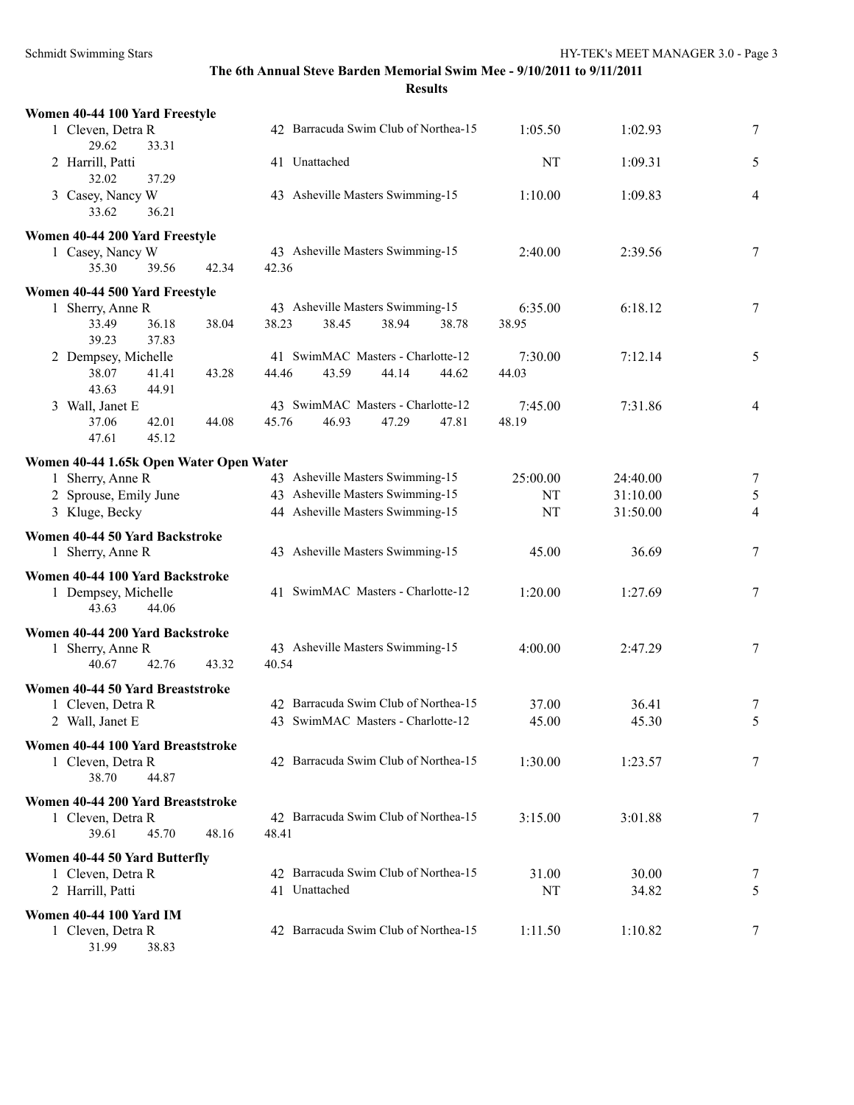| Women 40-44 100 Yard Freestyle                         |                |                                      |       |       |          |          |                |
|--------------------------------------------------------|----------------|--------------------------------------|-------|-------|----------|----------|----------------|
| 1 Cleven, Detra R                                      |                | 42 Barracuda Swim Club of Northea-15 |       |       | 1:05.50  | 1:02.93  | 7              |
| 29.62<br>33.31<br>2 Harrill, Patti                     |                | 41 Unattached                        |       |       | NT       | 1:09.31  | 5              |
| 37.29<br>32.02<br>3 Casey, Nancy W<br>33.62<br>36.21   |                | 43 Asheville Masters Swimming-15     |       |       | 1:10.00  | 1:09.83  | 4              |
| Women 40-44 200 Yard Freestyle                         |                |                                      |       |       |          |          |                |
| 1 Casey, Nancy W                                       |                | 43 Asheville Masters Swimming-15     |       |       | 2:40.00  | 2:39.56  | 7              |
| 39.56<br>35.30                                         | 42.34<br>42.36 |                                      |       |       |          |          |                |
| Women 40-44 500 Yard Freestyle                         |                |                                      |       |       |          |          |                |
| 1 Sherry, Anne R                                       |                | 43 Asheville Masters Swimming-15     |       |       | 6:35.00  | 6:18.12  | 7              |
| 33.49<br>36.18<br>39.23<br>37.83                       | 38.04<br>38.23 | 38.45                                | 38.94 | 38.78 | 38.95    |          |                |
| 2 Dempsey, Michelle                                    |                | 41 SwimMAC Masters - Charlotte-12    |       |       | 7:30.00  | 7:12.14  | 5              |
| 38.07<br>41.41<br>43.63<br>44.91                       | 43.28<br>44.46 | 43.59                                | 44.14 | 44.62 | 44.03    |          |                |
| 3 Wall, Janet E                                        |                | 43 SwimMAC Masters - Charlotte-12    |       |       | 7:45.00  | 7:31.86  | 4              |
| 37.06<br>42.01<br>47.61<br>45.12                       | 44.08<br>45.76 | 46.93                                | 47.29 | 47.81 | 48.19    |          |                |
| Women 40-44 1.65k Open Water Open Water                |                |                                      |       |       |          |          |                |
| 1 Sherry, Anne R                                       |                | 43 Asheville Masters Swimming-15     |       |       | 25:00.00 | 24:40.00 | 7              |
| 2 Sprouse, Emily June                                  |                | 43 Asheville Masters Swimming-15     |       |       | NT       | 31:10.00 | $\mathfrak{S}$ |
| 3 Kluge, Becky                                         |                | 44 Asheville Masters Swimming-15     |       |       | NT       | 31:50.00 | $\overline{4}$ |
| Women 40-44 50 Yard Backstroke<br>1 Sherry, Anne R     |                | 43 Asheville Masters Swimming-15     |       |       | 45.00    | 36.69    | 7              |
| Women 40-44 100 Yard Backstroke                        |                |                                      |       |       |          |          |                |
| 1 Dempsey, Michelle<br>43.63<br>44.06                  |                | 41 SwimMAC Masters - Charlotte-12    |       |       | 1:20.00  | 1:27.69  | 7              |
| Women 40-44 200 Yard Backstroke                        |                |                                      |       |       |          |          |                |
| 1 Sherry, Anne R<br>40.67<br>42.76                     | 43.32<br>40.54 | 43 Asheville Masters Swimming-15     |       |       | 4:00.00  | 2:47.29  | 7              |
| Women 40-44 50 Yard Breaststroke                       |                |                                      |       |       |          |          |                |
| 1 Cleven, Detra R                                      |                | 42 Barracuda Swim Club of Northea-15 |       |       | 37.00    | 36.41    | 7              |
| 2 Wall, Janet E                                        |                | 43 SwimMAC Masters - Charlotte-12    |       |       | 45.00    | 45.30    | 5              |
| Women 40-44 100 Yard Breaststroke<br>1 Cleven, Detra R |                | 42 Barracuda Swim Club of Northea-15 |       |       | 1:30.00  | 1:23.57  | 7              |
| 38.70<br>44.87                                         |                |                                      |       |       |          |          |                |
| Women 40-44 200 Yard Breaststroke                      |                |                                      |       |       |          |          |                |
| 1 Cleven, Detra R                                      |                | 42 Barracuda Swim Club of Northea-15 |       |       | 3:15.00  | 3:01.88  | 7              |
| 39.61<br>45.70                                         | 48.16<br>48.41 |                                      |       |       |          |          |                |
| Women 40-44 50 Yard Butterfly                          |                |                                      |       |       |          |          |                |
| 1 Cleven, Detra R                                      |                | 42 Barracuda Swim Club of Northea-15 |       |       | 31.00    | 30.00    | 7              |
| 2 Harrill, Patti                                       |                | 41 Unattached                        |       |       | NT       | 34.82    | 5              |
| <b>Women 40-44 100 Yard IM</b>                         |                |                                      |       |       |          |          |                |
| 1 Cleven, Detra R<br>31.99<br>38.83                    |                | 42 Barracuda Swim Club of Northea-15 |       |       | 1:11.50  | 1:10.82  | 7              |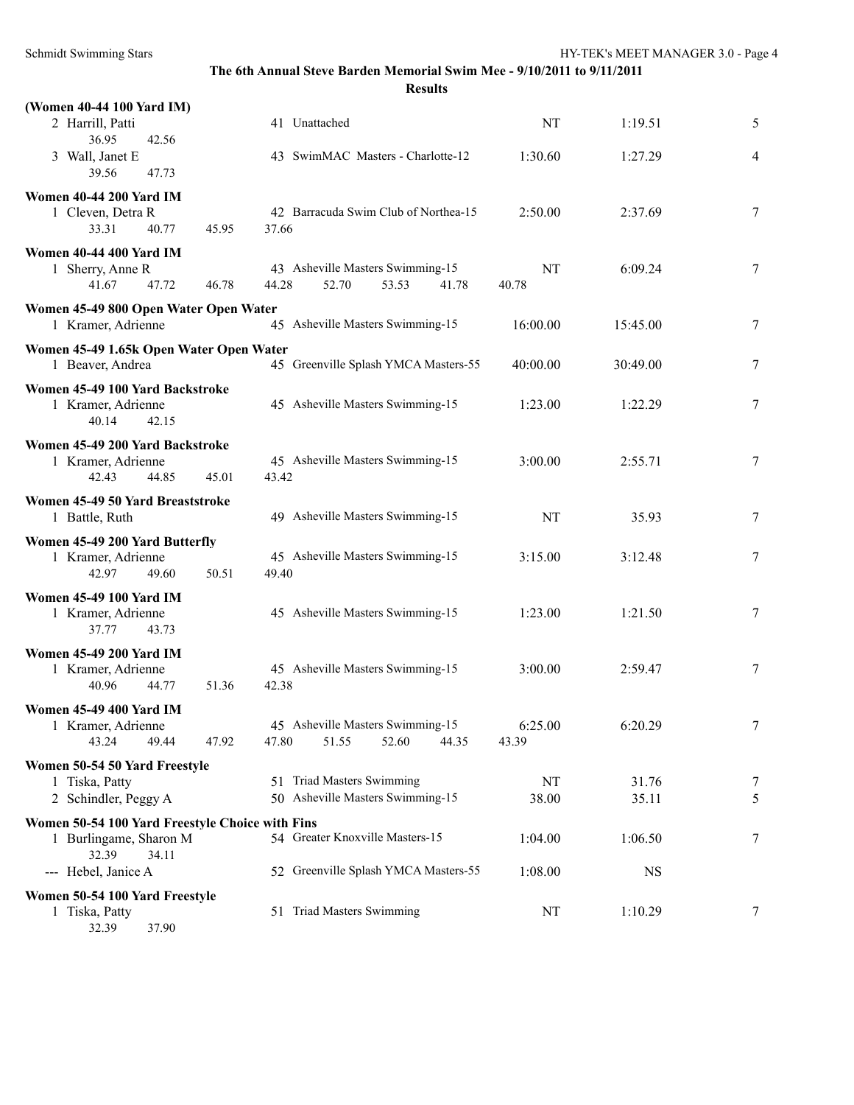| (Women 40-44 100 Yard IM)<br>2 Harrill, Patti<br>36.95<br>42.56                             |       | 41 Unattached                                                        | NT               | 1:19.51        | 5              |
|---------------------------------------------------------------------------------------------|-------|----------------------------------------------------------------------|------------------|----------------|----------------|
| 3 Wall, Janet E<br>39.56<br>47.73                                                           |       | 43 SwimMAC Masters - Charlotte-12                                    | 1:30.60          | 1:27.29        | $\overline{4}$ |
| <b>Women 40-44 200 Yard IM</b><br>1 Cleven, Detra R<br>33.31<br>40.77                       | 45.95 | 42 Barracuda Swim Club of Northea-15<br>37.66                        | 2:50.00          | 2:37.69        | 7              |
| <b>Women 40-44 400 Yard IM</b><br>1 Sherry, Anne R<br>47.72<br>41.67                        | 46.78 | 43 Asheville Masters Swimming-15<br>44.28<br>52.70<br>53.53<br>41.78 | NT<br>40.78      | 6:09.24        | 7              |
| Women 45-49 800 Open Water Open Water<br>1 Kramer, Adrienne                                 |       | 45 Asheville Masters Swimming-15                                     | 16:00.00         | 15:45.00       | 7              |
| Women 45-49 1.65k Open Water Open Water<br>1 Beaver, Andrea                                 |       | 45 Greenville Splash YMCA Masters-55                                 | 40:00.00         | 30:49.00       | 7              |
| Women 45-49 100 Yard Backstroke<br>1 Kramer, Adrienne<br>40.14<br>42.15                     |       | 45 Asheville Masters Swimming-15                                     | 1:23.00          | 1:22.29        | 7              |
| Women 45-49 200 Yard Backstroke<br>1 Kramer, Adrienne<br>42.43<br>44.85                     | 45.01 | 45 Asheville Masters Swimming-15<br>43.42                            | 3:00.00          | 2:55.71        | 7              |
| Women 45-49 50 Yard Breaststroke<br>1 Battle, Ruth                                          |       | 49 Asheville Masters Swimming-15                                     | NT               | 35.93          | 7              |
| Women 45-49 200 Yard Butterfly<br>1 Kramer, Adrienne<br>42.97<br>49.60                      | 50.51 | 45 Asheville Masters Swimming-15<br>49.40                            | 3:15.00          | 3:12.48        | 7              |
| <b>Women 45-49 100 Yard IM</b><br>1 Kramer, Adrienne<br>37.77<br>43.73                      |       | 45 Asheville Masters Swimming-15                                     | 1:23.00          | 1:21.50        | 7              |
| <b>Women 45-49 200 Yard IM</b><br>1 Kramer, Adrienne<br>40.96<br>44.77                      | 51.36 | 45 Asheville Masters Swimming-15<br>42.38                            | 3:00.00          | 2:59.47        | 7              |
| <b>Women 45-49 400 Yard IM</b><br>1 Kramer, Adrienne<br>43.24<br>49.44                      | 47.92 | 45 Asheville Masters Swimming-15<br>47.80<br>51.55<br>52.60<br>44.35 | 6:25.00<br>43.39 | 6:20.29        | 7              |
| Women 50-54 50 Yard Freestyle<br>1 Tiska, Patty<br>2 Schindler, Peggy A                     |       | 51 Triad Masters Swimming<br>50 Asheville Masters Swimming-15        | NT<br>38.00      | 31.76<br>35.11 | 7<br>5         |
| Women 50-54 100 Yard Freestyle Choice with Fins<br>1 Burlingame, Sharon M<br>32.39<br>34.11 |       | 54 Greater Knoxville Masters-15                                      | 1:04.00          | 1:06.50        | 7              |
| --- Hebel, Janice A                                                                         |       | 52 Greenville Splash YMCA Masters-55                                 | 1:08.00          | <b>NS</b>      |                |
| Women 50-54 100 Yard Freestyle<br>1 Tiska, Patty                                            |       | 51 Triad Masters Swimming                                            | $\rm{NT}$        | 1:10.29        | 7              |

32.39 37.90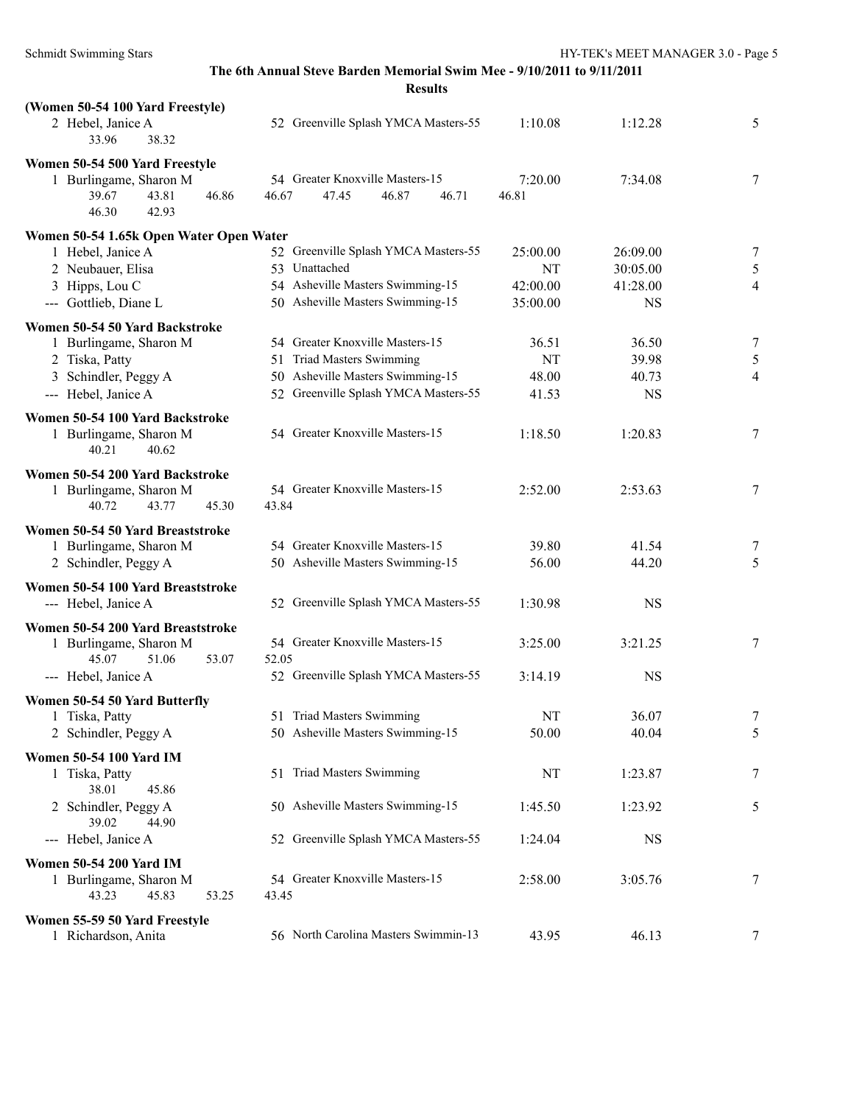| Kesults |  |
|---------|--|
|---------|--|

| (Women 50-54 100 Yard Freestyle)                                            |                                                                     |                  |           |                |
|-----------------------------------------------------------------------------|---------------------------------------------------------------------|------------------|-----------|----------------|
| 2 Hebel, Janice A<br>33.96<br>38.32                                         | 52 Greenville Splash YMCA Masters-55                                | 1:10.08          | 1:12.28   | 5              |
| Women 50-54 500 Yard Freestyle                                              |                                                                     |                  |           |                |
| 1 Burlingame, Sharon M<br>39.67<br>43.81<br>46.86<br>46.30<br>42.93         | 54 Greater Knoxville Masters-15<br>46.87<br>46.67<br>47.45<br>46.71 | 7:20.00<br>46.81 | 7:34.08   | 7              |
|                                                                             |                                                                     |                  |           |                |
| Women 50-54 1.65k Open Water Open Water                                     |                                                                     |                  |           |                |
| 1 Hebel, Janice A                                                           | 52 Greenville Splash YMCA Masters-55                                | 25:00.00         | 26:09.00  | 7              |
| 2 Neubauer, Elisa                                                           | 53 Unattached                                                       | NT               | 30:05.00  | 5              |
| 3 Hipps, Lou C                                                              | 54 Asheville Masters Swimming-15                                    | 42:00.00         | 41:28.00  | $\overline{4}$ |
| --- Gottlieb, Diane L                                                       | 50 Asheville Masters Swimming-15                                    | 35:00.00         | <b>NS</b> |                |
| Women 50-54 50 Yard Backstroke                                              |                                                                     |                  |           |                |
| 1 Burlingame, Sharon M                                                      | 54 Greater Knoxville Masters-15                                     | 36.51            | 36.50     | 7              |
| 2 Tiska, Patty                                                              | 51 Triad Masters Swimming                                           | NT               | 39.98     | 5              |
| 3 Schindler, Peggy A                                                        | 50 Asheville Masters Swimming-15                                    | 48.00            | 40.73     | $\overline{4}$ |
| --- Hebel, Janice A                                                         | 52 Greenville Splash YMCA Masters-55                                | 41.53            | <b>NS</b> |                |
|                                                                             |                                                                     |                  |           |                |
| Women 50-54 100 Yard Backstroke<br>1 Burlingame, Sharon M<br>40.21<br>40.62 | 54 Greater Knoxville Masters-15                                     | 1:18.50          | 1:20.83   | 7              |
| Women 50-54 200 Yard Backstroke                                             |                                                                     |                  |           |                |
| 1 Burlingame, Sharon M                                                      | 54 Greater Knoxville Masters-15                                     | 2:52.00          | 2:53.63   | 7              |
| 43.77<br>40.72<br>45.30                                                     | 43.84                                                               |                  |           |                |
|                                                                             |                                                                     |                  |           |                |
| Women 50-54 50 Yard Breaststroke                                            |                                                                     |                  |           |                |
| 1 Burlingame, Sharon M                                                      | 54 Greater Knoxville Masters-15                                     | 39.80            | 41.54     | 7              |
| 2 Schindler, Peggy A                                                        | 50 Asheville Masters Swimming-15                                    | 56.00            | 44.20     | 5              |
| Women 50-54 100 Yard Breaststroke                                           |                                                                     |                  |           |                |
| --- Hebel, Janice A                                                         | 52 Greenville Splash YMCA Masters-55                                | 1:30.98          | <b>NS</b> |                |
|                                                                             |                                                                     |                  |           |                |
| Women 50-54 200 Yard Breaststroke                                           |                                                                     |                  |           |                |
| 1 Burlingame, Sharon M                                                      | 54 Greater Knoxville Masters-15                                     | 3:25.00          | 3:21.25   | $\tau$         |
| 45.07<br>51.06<br>53.07                                                     | 52.05                                                               |                  |           |                |
| --- Hebel, Janice A                                                         | 52 Greenville Splash YMCA Masters-55                                | 3:14.19          | <b>NS</b> |                |
| Women 50-54 50 Yard Butterfly                                               |                                                                     |                  |           |                |
| 1 Tiska, Patty                                                              | 51 Triad Masters Swimming                                           | NT               | 36.07     | 7              |
| 2 Schindler, Peggy A                                                        | 50 Asheville Masters Swimming-15                                    | 50.00            | 40.04     | 5              |
| Women 50-54 100 Yard IM                                                     |                                                                     |                  |           |                |
|                                                                             | 51 Triad Masters Swimming                                           | NT               | 1:23.87   | 7              |
| 1 Tiska, Patty<br>38.01<br>45.86                                            |                                                                     |                  |           |                |
| 2 Schindler, Peggy A                                                        | 50 Asheville Masters Swimming-15                                    | 1:45.50          |           |                |
| 39.02<br>44.90                                                              |                                                                     |                  | 1:23.92   | 5              |
|                                                                             |                                                                     |                  |           |                |
| --- Hebel, Janice A                                                         | 52 Greenville Splash YMCA Masters-55                                | 1:24.04          | <b>NS</b> |                |
| <b>Women 50-54 200 Yard IM</b>                                              |                                                                     |                  |           |                |
| 1 Burlingame, Sharon M                                                      | 54 Greater Knoxville Masters-15                                     | 2:58.00          | 3:05.76   | 7              |
| 45.83<br>43.23<br>53.25                                                     | 43.45                                                               |                  |           |                |
| Women 55-59 50 Yard Freestyle                                               |                                                                     |                  |           |                |
| 1 Richardson, Anita                                                         | 56 North Carolina Masters Swimmin-13                                | 43.95            | 46.13     | $\tau$         |
|                                                                             |                                                                     |                  |           |                |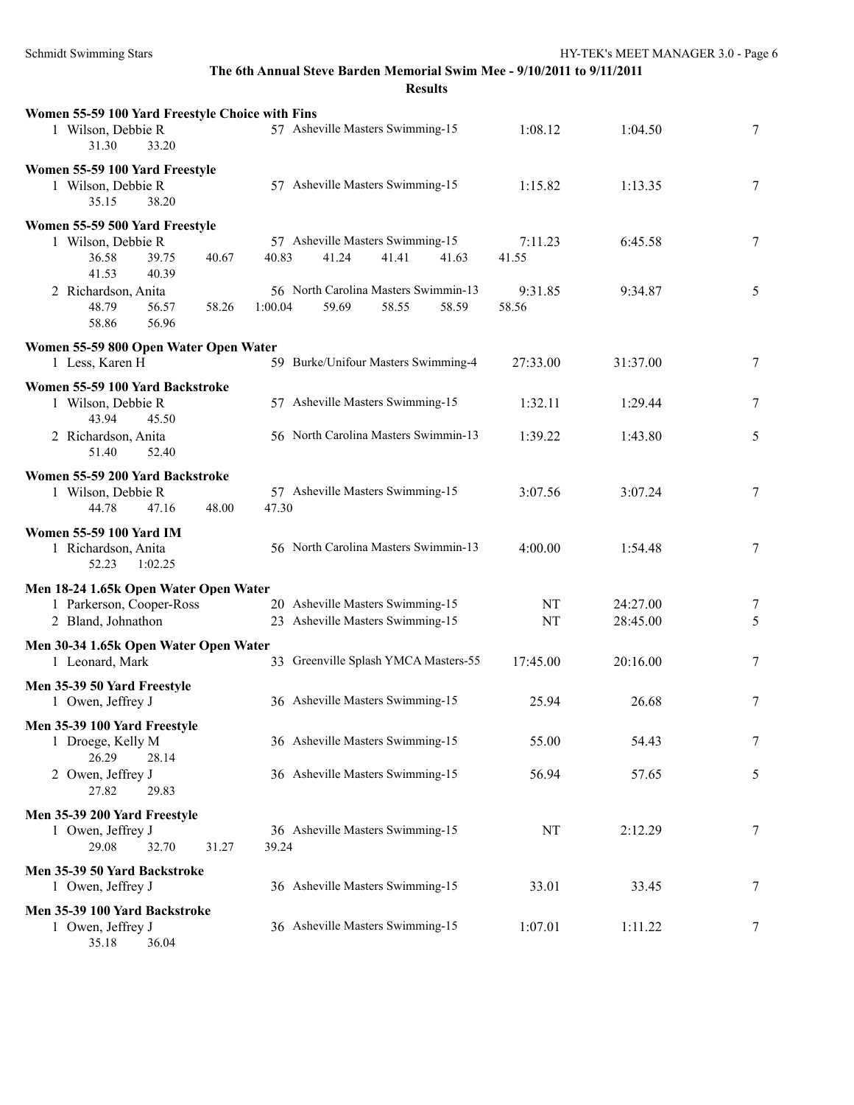| Women 55-59 100 Yard Freestyle Choice with Fins<br>1 Wilson, Debbie R<br>31.30<br>33.20 | 57 Asheville Masters Swimming-15                                           | 1:08.12          | 1:04.50              | 7      |
|-----------------------------------------------------------------------------------------|----------------------------------------------------------------------------|------------------|----------------------|--------|
| Women 55-59 100 Yard Freestyle<br>1 Wilson, Debbie R<br>38.20<br>35.15                  | 57 Asheville Masters Swimming-15                                           | 1:15.82          | 1:13.35              | $\tau$ |
| Women 55-59 500 Yard Freestyle<br>1 Wilson, Debbie R<br>36.58<br>39.75<br>40.67         | 57 Asheville Masters Swimming-15<br>40.83<br>41.24<br>41.41<br>41.63       | 7:11.23<br>41.55 | 6:45.58              | 7      |
| 41.53<br>40.39<br>2 Richardson, Anita<br>48.79<br>56.57<br>58.26<br>58.86<br>56.96      | 56 North Carolina Masters Swimmin-13<br>1:00.04<br>59.69<br>58.55<br>58.59 | 9:31.85<br>58.56 | 9:34.87              | 5      |
| Women 55-59 800 Open Water Open Water<br>1 Less, Karen H                                | 59 Burke/Unifour Masters Swimming-4                                        | 27:33.00         | 31:37.00             | 7      |
| Women 55-59 100 Yard Backstroke<br>1 Wilson, Debbie R                                   | 57 Asheville Masters Swimming-15                                           | 1:32.11          | 1:29.44              | $\tau$ |
| 43.94<br>45.50<br>2 Richardson, Anita<br>51.40<br>52.40                                 | 56 North Carolina Masters Swimmin-13                                       | 1:39.22          | 1:43.80              | 5      |
| Women 55-59 200 Yard Backstroke<br>1 Wilson, Debbie R<br>44.78<br>47.16<br>48.00        | 57 Asheville Masters Swimming-15<br>47.30                                  | 3:07.56          | 3:07.24              | 7      |
| <b>Women 55-59 100 Yard IM</b><br>1 Richardson, Anita<br>52.23<br>1:02.25               | 56 North Carolina Masters Swimmin-13                                       | 4:00.00          | 1:54.48              | 7      |
| Men 18-24 1.65k Open Water Open Water<br>1 Parkerson, Cooper-Ross<br>2 Bland, Johnathon | 20 Asheville Masters Swimming-15<br>23 Asheville Masters Swimming-15       | NT<br>NT         | 24:27.00<br>28:45.00 | 7<br>5 |
| Men 30-34 1.65k Open Water Open Water<br>1 Leonard, Mark                                | 33 Greenville Splash YMCA Masters-55                                       | 17:45.00         | 20:16.00             | 7      |
| Men 35-39 50 Yard Freestyle<br>1 Owen, Jeffrey J                                        | 36 Asheville Masters Swimming-15                                           | 25.94            | 26.68                | 7      |
| Men 35-39 100 Yard Freestyle<br>1 Droege, Kelly M                                       | 36 Asheville Masters Swimming-15                                           | 55.00            | 54.43                | 7      |
| 26.29<br>28.14<br>2 Owen, Jeffrey J<br>27.82<br>29.83                                   | 36 Asheville Masters Swimming-15                                           | 56.94            | 57.65                | 5      |
| Men 35-39 200 Yard Freestyle<br>1 Owen, Jeffrey J<br>29.08<br>32.70<br>31.27            | 36 Asheville Masters Swimming-15<br>39.24                                  | NT               | 2:12.29              | 7      |
| Men 35-39 50 Yard Backstroke<br>1 Owen, Jeffrey J                                       | 36 Asheville Masters Swimming-15                                           | 33.01            | 33.45                | 7      |
| Men 35-39 100 Yard Backstroke<br>1 Owen, Jeffrey J<br>35.18<br>36.04                    | 36 Asheville Masters Swimming-15                                           | 1:07.01          | 1:11.22              | 7      |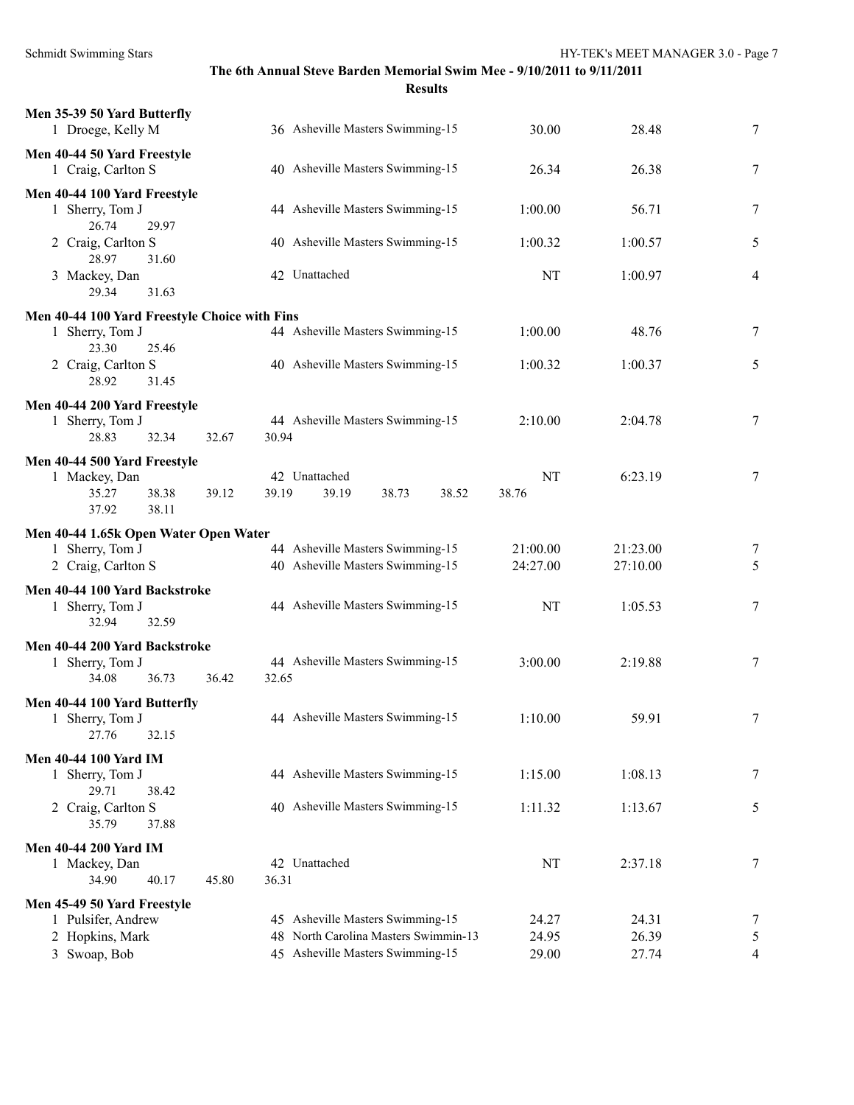| Men 35-39 50 Yard Butterfly<br>1 Droege, Kelly M  |                | 36 Asheville Masters Swimming-15     | 30.00     | 28.48    | $\tau$        |
|---------------------------------------------------|----------------|--------------------------------------|-----------|----------|---------------|
| Men 40-44 50 Yard Freestyle<br>1 Craig, Carlton S |                | 40 Asheville Masters Swimming-15     | 26.34     | 26.38    | 7             |
| Men 40-44 100 Yard Freestyle                      |                |                                      |           |          |               |
| 1 Sherry, Tom J<br>26.74<br>29.97                 |                | 44 Asheville Masters Swimming-15     | 1:00.00   | 56.71    | 7             |
| 2 Craig, Carlton S<br>28.97<br>31.60              |                | 40 Asheville Masters Swimming-15     | 1:00.32   | 1:00.57  | 5             |
| 3 Mackey, Dan<br>29.34<br>31.63                   |                | 42 Unattached                        | NT        | 1:00.97  | 4             |
| Men 40-44 100 Yard Freestyle Choice with Fins     |                |                                      |           |          |               |
| 1 Sherry, Tom J<br>23.30<br>25.46                 |                | 44 Asheville Masters Swimming-15     | 1:00.00   | 48.76    | 7             |
| 2 Craig, Carlton S<br>28.92<br>31.45              |                | 40 Asheville Masters Swimming-15     | 1:00.32   | 1:00.37  | 5             |
| Men 40-44 200 Yard Freestyle                      |                |                                      |           |          |               |
| 1 Sherry, Tom J<br>28.83<br>32.34                 | 32.67<br>30.94 | 44 Asheville Masters Swimming-15     | 2:10.00   | 2:04.78  | 7             |
| Men 40-44 500 Yard Freestyle                      |                |                                      |           |          |               |
| 1 Mackey, Dan                                     |                | 42 Unattached                        | NT        | 6:23.19  | 7             |
| 35.27<br>38.38<br>38.11<br>37.92                  | 39.12<br>39.19 | 39.19<br>38.73<br>38.52              | 38.76     |          |               |
| Men 40-44 1.65k Open Water Open Water             |                |                                      |           |          |               |
| 1 Sherry, Tom J                                   |                | 44 Asheville Masters Swimming-15     | 21:00.00  | 21:23.00 | 7             |
| 2 Craig, Carlton S                                |                | 40 Asheville Masters Swimming-15     | 24:27.00  | 27:10.00 | 5             |
| Men 40-44 100 Yard Backstroke                     |                |                                      |           |          |               |
| 1 Sherry, Tom J<br>32.59<br>32.94                 |                | 44 Asheville Masters Swimming-15     | NT        | 1:05.53  | 7             |
| Men 40-44 200 Yard Backstroke                     |                |                                      |           |          |               |
| 1 Sherry, Tom J                                   |                | 44 Asheville Masters Swimming-15     | 3:00.00   | 2:19.88  | 7             |
| 34.08<br>36.73                                    | 32.65<br>36.42 |                                      |           |          |               |
| Men 40-44 100 Yard Butterfly                      |                |                                      |           |          |               |
| 1 Sherry, Tom J<br>32.15<br>27.76                 |                | 44 Asheville Masters Swimming-15     | 1:10.00   | 59.91    | 7             |
| <b>Men 40-44 100 Yard IM</b>                      |                |                                      |           |          |               |
| 1 Sherry, Tom J<br>29.71<br>38.42                 |                | 44 Asheville Masters Swimming-15     | 1:15.00   | 1:08.13  | 7             |
| 2 Craig, Carlton S<br>35.79<br>37.88              |                | 40 Asheville Masters Swimming-15     | 1:11.32   | 1:13.67  | 5             |
| <b>Men 40-44 200 Yard IM</b>                      |                |                                      |           |          |               |
| 1 Mackey, Dan                                     |                | 42 Unattached                        | $\rm{NT}$ | 2:37.18  | 7             |
| 34.90<br>40.17                                    | 45.80<br>36.31 |                                      |           |          |               |
| Men 45-49 50 Yard Freestyle                       |                |                                      |           |          |               |
| 1 Pulsifer, Andrew                                |                | 45 Asheville Masters Swimming-15     | 24.27     | 24.31    | 7             |
| 2 Hopkins, Mark                                   |                | 48 North Carolina Masters Swimmin-13 | 24.95     | 26.39    | $\mathfrak s$ |
| 3 Swoap, Bob                                      |                | 45 Asheville Masters Swimming-15     | 29.00     | 27.74    | 4             |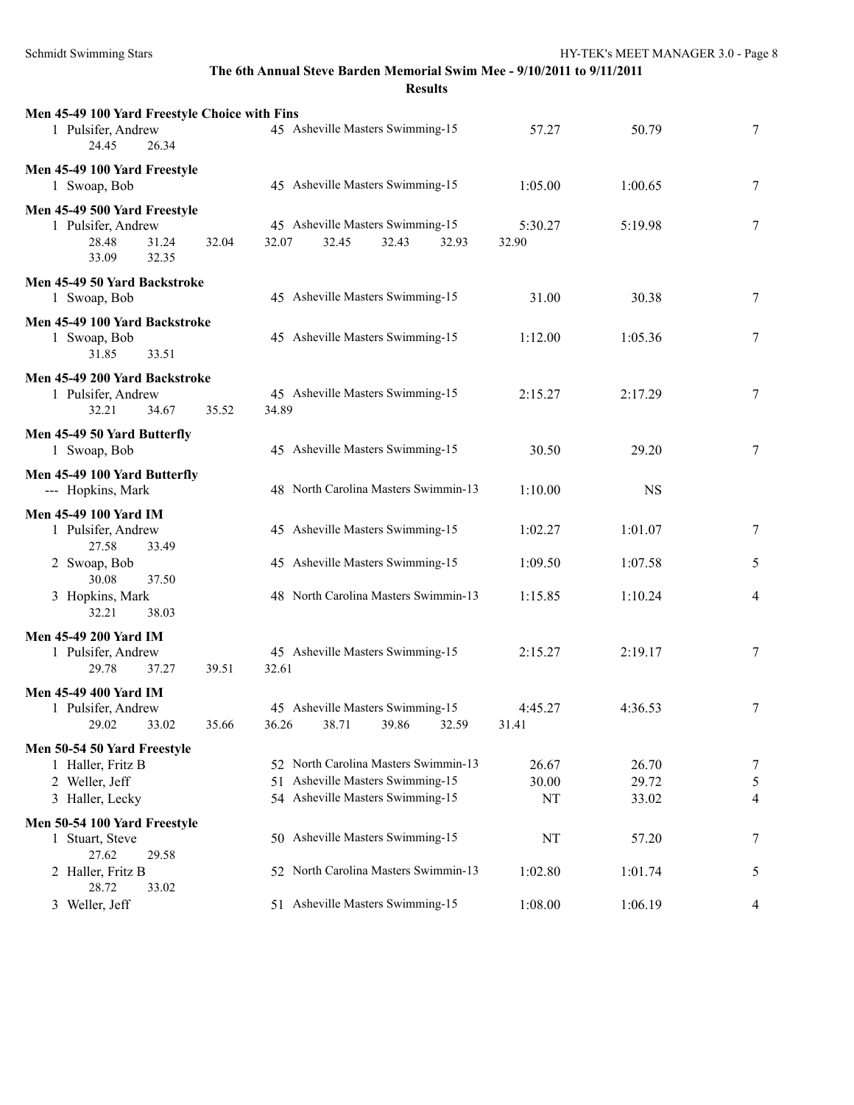| Men 45-49 100 Yard Freestyle Choice with Fins<br>1 Pulsifer, Andrew<br>24.45<br>26.34  |       |       | 45 Asheville Masters Swimming-15                                                                             |       |       | 57.27                | 50.79                   | 7              |
|----------------------------------------------------------------------------------------|-------|-------|--------------------------------------------------------------------------------------------------------------|-------|-------|----------------------|-------------------------|----------------|
| Men 45-49 100 Yard Freestyle<br>1 Swoap, Bob                                           |       |       | 45 Asheville Masters Swimming-15                                                                             |       |       | 1:05.00              | 1:00.65                 | 7              |
| Men 45-49 500 Yard Freestyle<br>1 Pulsifer, Andrew<br>28.48<br>31.24<br>33.09<br>32.35 | 32.04 | 32.07 | 45 Asheville Masters Swimming-15<br>32.45                                                                    | 32.43 | 32.93 | 5:30.27<br>32.90     | 5:19.98                 | 7              |
| Men 45-49 50 Yard Backstroke<br>1 Swoap, Bob                                           |       |       | 45 Asheville Masters Swimming-15                                                                             |       |       | 31.00                | 30.38                   | $\tau$         |
| Men 45-49 100 Yard Backstroke<br>1 Swoap, Bob<br>31.85<br>33.51                        |       |       | 45 Asheville Masters Swimming-15                                                                             |       |       | 1:12.00              | 1:05.36                 | 7              |
| Men 45-49 200 Yard Backstroke<br>1 Pulsifer, Andrew<br>32.21<br>34.67                  | 35.52 | 34.89 | 45 Asheville Masters Swimming-15                                                                             |       |       | 2:15.27              | 2:17.29                 | 7              |
| Men 45-49 50 Yard Butterfly<br>1 Swoap, Bob                                            |       |       | 45 Asheville Masters Swimming-15                                                                             |       |       | 30.50                | 29.20                   | 7              |
| Men 45-49 100 Yard Butterfly<br>--- Hopkins, Mark                                      |       |       | 48 North Carolina Masters Swimmin-13                                                                         |       |       | 1:10.00              | <b>NS</b>               |                |
| <b>Men 45-49 100 Yard IM</b><br>1 Pulsifer, Andrew<br>27.58<br>33.49                   |       |       | 45 Asheville Masters Swimming-15                                                                             |       |       | 1:02.27              | 1:01.07                 | 7              |
| 2 Swoap, Bob<br>30.08<br>37.50                                                         |       |       | 45 Asheville Masters Swimming-15                                                                             |       |       | 1:09.50              | 1:07.58                 | 5              |
| 3 Hopkins, Mark<br>32.21<br>38.03                                                      |       |       | 48 North Carolina Masters Swimmin-13                                                                         |       |       | 1:15.85              | 1:10.24                 | $\overline{4}$ |
| <b>Men 45-49 200 Yard IM</b><br>1 Pulsifer, Andrew<br>29.78<br>37.27                   | 39.51 | 32.61 | 45 Asheville Masters Swimming-15                                                                             |       |       | 2:15.27              | 2:19.17                 | 7              |
| <b>Men 45-49 400 Yard IM</b><br>1 Pulsifer, Andrew<br>29.02<br>33.02                   | 35.66 |       | 45 Asheville Masters Swimming-15<br>36.26 38.71 39.86 32.59                                                  |       |       | 4:45.27<br>31.41     | 4:36.53                 | 7              |
| Men 50-54 50 Yard Freestyle<br>1 Haller, Fritz B<br>2 Weller, Jeff<br>3 Haller, Lecky  |       |       | 52 North Carolina Masters Swimmin-13<br>51 Asheville Masters Swimming-15<br>54 Asheville Masters Swimming-15 |       |       | 26.67<br>30.00<br>NT | 26.70<br>29.72<br>33.02 | 7<br>5<br>4    |
| Men 50-54 100 Yard Freestyle<br>1 Stuart, Steve                                        |       |       | 50 Asheville Masters Swimming-15                                                                             |       |       | NT                   | 57.20                   | 7              |
| 27.62<br>29.58<br>2 Haller, Fritz B                                                    |       |       | 52 North Carolina Masters Swimmin-13                                                                         |       |       | 1:02.80              | 1:01.74                 | 5              |
| 28.72<br>33.02<br>3 Weller, Jeff                                                       |       |       | 51 Asheville Masters Swimming-15                                                                             |       |       | 1:08.00              | 1:06.19                 | 4              |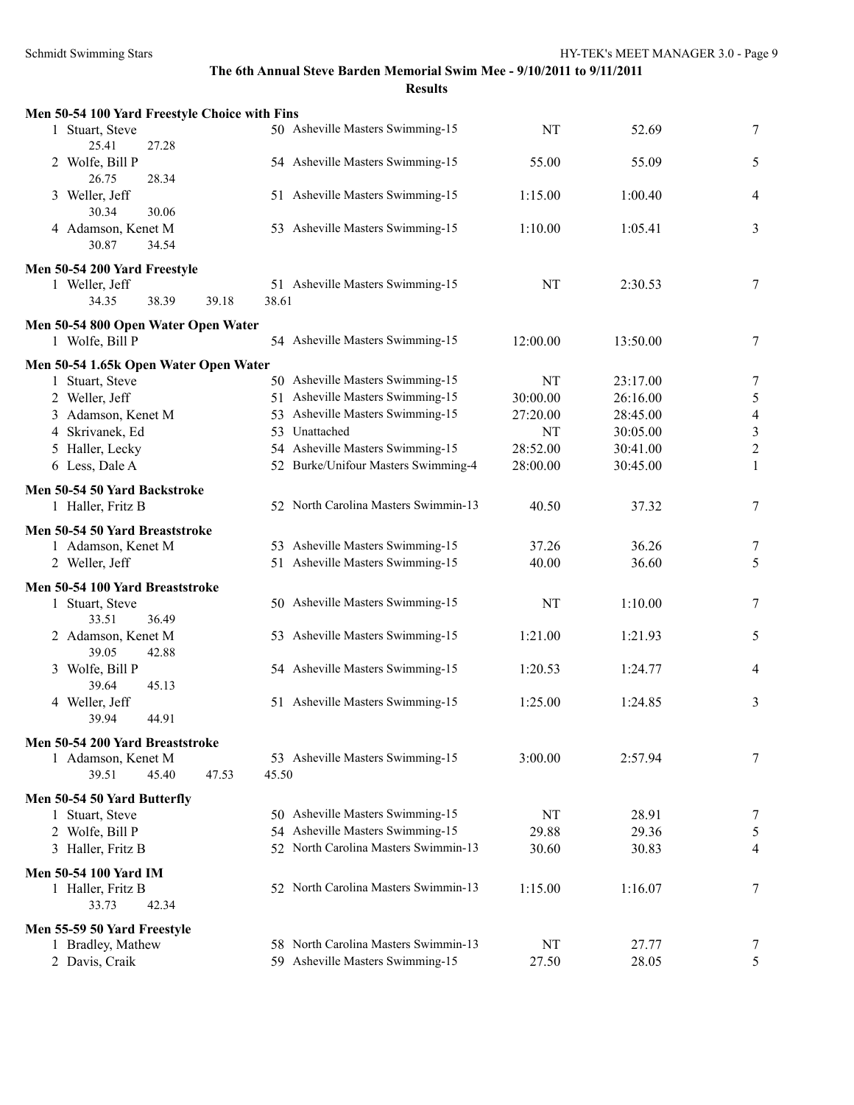**Results**

| Men 50-54 100 Yard Freestyle Choice with Fins     |                |                                                                          |           |                      |                |
|---------------------------------------------------|----------------|--------------------------------------------------------------------------|-----------|----------------------|----------------|
| 1 Stuart, Steve<br>25.41<br>27.28                 |                | 50 Asheville Masters Swimming-15                                         | NT        | 52.69                | 7              |
| 2 Wolfe, Bill P<br>26.75<br>28.34                 |                | 54 Asheville Masters Swimming-15                                         | 55.00     | 55.09                | 5              |
| 3 Weller, Jeff<br>30.34<br>30.06                  |                | 51 Asheville Masters Swimming-15                                         | 1:15.00   | 1:00.40              | 4              |
| 4 Adamson, Kenet M<br>30.87<br>34.54              |                | 53 Asheville Masters Swimming-15                                         | 1:10.00   | 1:05.41              | 3              |
| Men 50-54 200 Yard Freestyle                      |                |                                                                          |           |                      |                |
| 1 Weller, Jeff                                    |                | 51 Asheville Masters Swimming-15                                         | NT        | 2:30.53              | 7              |
| 38.39<br>34.35                                    | 38.61<br>39.18 |                                                                          |           |                      |                |
| Men 50-54 800 Open Water Open Water               |                |                                                                          |           |                      |                |
| 1 Wolfe, Bill P                                   |                | 54 Asheville Masters Swimming-15                                         | 12:00.00  | 13:50.00             | 7              |
| Men 50-54 1.65k Open Water Open Water             |                |                                                                          | NT        |                      |                |
| 1 Stuart, Steve<br>2 Weller, Jeff                 |                | 50 Asheville Masters Swimming-15<br>51 Asheville Masters Swimming-15     | 30:00.00  | 23:17.00<br>26:16.00 | 7<br>5         |
| 3 Adamson, Kenet M                                |                | 53 Asheville Masters Swimming-15                                         | 27:20.00  | 28:45.00             | $\overline{4}$ |
| 4 Skrivanek, Ed                                   |                | 53 Unattached                                                            | NT        | 30:05.00             | $\sqrt{3}$     |
| 5 Haller, Lecky                                   |                | 54 Asheville Masters Swimming-15                                         | 28:52.00  | 30:41.00             | $\overline{c}$ |
| 6 Less, Dale A                                    |                | 52 Burke/Unifour Masters Swimming-4                                      | 28:00.00  | 30:45.00             | $\mathbf{1}$   |
|                                                   |                |                                                                          |           |                      |                |
| Men 50-54 50 Yard Backstroke<br>1 Haller, Fritz B |                | 52 North Carolina Masters Swimmin-13                                     | 40.50     | 37.32                | 7              |
| Men 50-54 50 Yard Breaststroke                    |                |                                                                          |           |                      |                |
| 1 Adamson, Kenet M                                |                | 53 Asheville Masters Swimming-15                                         | 37.26     | 36.26                | 7              |
| 2 Weller, Jeff                                    |                | 51 Asheville Masters Swimming-15                                         | 40.00     | 36.60                | 5              |
| Men 50-54 100 Yard Breaststroke                   |                |                                                                          |           |                      |                |
| 1 Stuart, Steve<br>36.49<br>33.51                 |                | 50 Asheville Masters Swimming-15                                         | <b>NT</b> | 1:10.00              | 7              |
| 2 Adamson, Kenet M<br>39.05<br>42.88              |                | 53 Asheville Masters Swimming-15                                         | 1:21.00   | 1:21.93              | 5              |
| 3 Wolfe, Bill P<br>39.64<br>45.13                 |                | 54 Asheville Masters Swimming-15                                         | 1:20.53   | 1:24.77              | 4              |
| 4 Weller, Jeff<br>39.94<br>44.91                  |                | 51 Asheville Masters Swimming-15                                         | 1:25.00   | 1:24.85              | 3              |
|                                                   |                |                                                                          |           |                      |                |
| Men 50-54 200 Yard Breaststroke                   |                | 53 Asheville Masters Swimming-15                                         |           |                      |                |
| 1 Adamson, Kenet M<br>39.51<br>45.40              | 47.53<br>45.50 |                                                                          | 3:00.00   | 2:57.94              | 7              |
|                                                   |                |                                                                          |           |                      |                |
| Men 50-54 50 Yard Butterfly                       |                |                                                                          |           |                      |                |
| 1 Stuart, Steve                                   |                | 50 Asheville Masters Swimming-15                                         | NT        | 28.91                | 7              |
| 2 Wolfe, Bill P                                   |                | 54 Asheville Masters Swimming-15<br>52 North Carolina Masters Swimmin-13 | 29.88     | 29.36                | 5              |
| 3 Haller, Fritz B                                 |                |                                                                          | 30.60     | 30.83                | 4              |
| <b>Men 50-54 100 Yard IM</b>                      |                |                                                                          |           |                      |                |
| 1 Haller, Fritz B<br>33.73<br>42.34               |                | 52 North Carolina Masters Swimmin-13                                     | 1:15.00   | 1:16.07              | 7              |
|                                                   |                |                                                                          |           |                      |                |
| Men 55-59 50 Yard Freestyle<br>1 Bradley, Mathew  |                | 58 North Carolina Masters Swimmin-13                                     | NT        | 27.77                | $\mathcal{L}$  |
| 2 Davis, Craik                                    |                | 59 Asheville Masters Swimming-15                                         | 27.50     | 28.05                | 5              |
|                                                   |                |                                                                          |           |                      |                |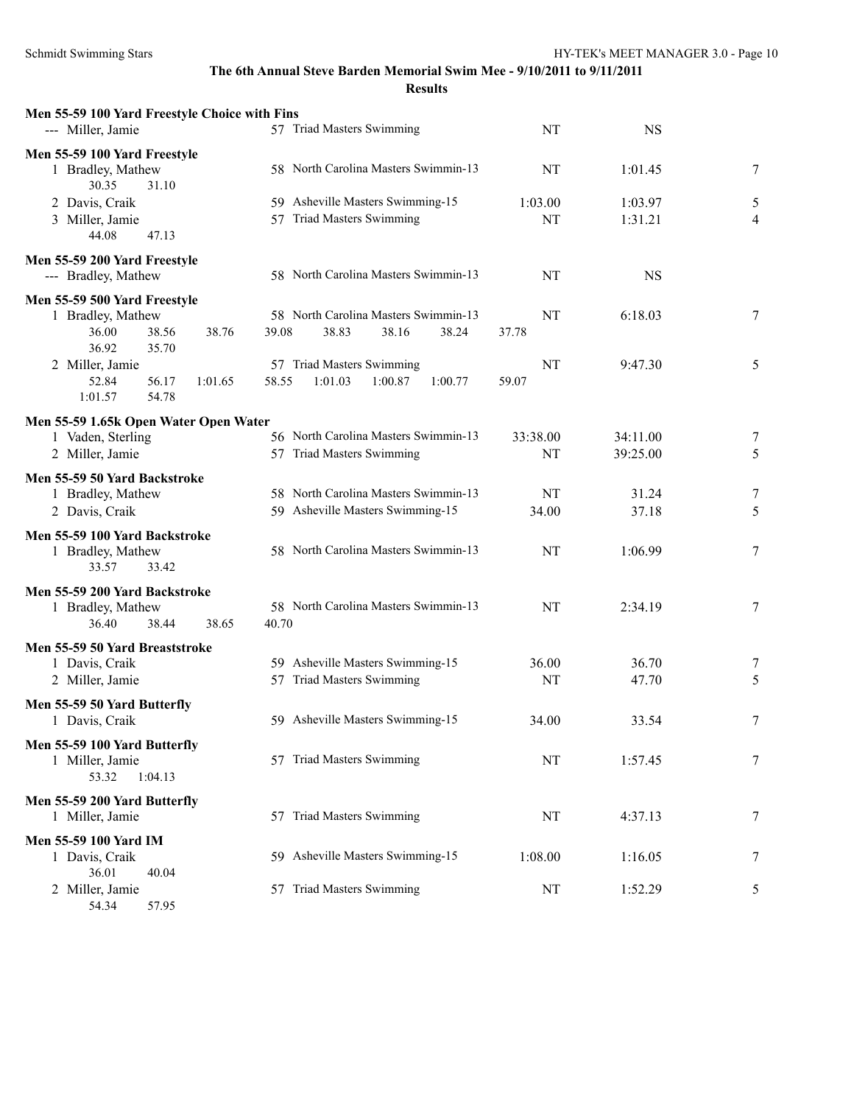| Men 55-59 100 Yard Freestyle Choice with Fins                       | 57 Triad Masters Swimming                                     | NT          | <b>NS</b>      |        |
|---------------------------------------------------------------------|---------------------------------------------------------------|-------------|----------------|--------|
| --- Miller, Jamie                                                   |                                                               |             |                |        |
| Men 55-59 100 Yard Freestyle<br>1 Bradley, Mathew<br>30.35<br>31.10 | 58 North Carolina Masters Swimmin-13                          | NT          | 1:01.45        | 7      |
| 2 Davis, Craik                                                      | 59 Asheville Masters Swimming-15                              | 1:03.00     | 1:03.97        | 5      |
| 3 Miller, Jamie                                                     | 57 Triad Masters Swimming                                     | NT          | 1:31.21        | 4      |
| 47.13<br>44.08                                                      |                                                               |             |                |        |
| Men 55-59 200 Yard Freestyle<br>--- Bradley, Mathew                 | 58 North Carolina Masters Swimmin-13                          | NT          | <b>NS</b>      |        |
| Men 55-59 500 Yard Freestyle                                        |                                                               |             |                |        |
| 1 Bradley, Mathew                                                   | 58 North Carolina Masters Swimmin-13                          | NT          | 6:18.03        | 7      |
| 36.00<br>38.56<br>38.76<br>36.92<br>35.70                           | 39.08<br>38.83<br>38.16<br>38.24                              | 37.78       |                |        |
| 2 Miller, Jamie                                                     | 57 Triad Masters Swimming                                     | NT          | 9:47.30        | 5      |
| 52.84<br>56.17<br>1:01.65                                           | 58.55<br>1:01.03<br>1:00.87<br>1:00.77                        | 59.07       |                |        |
| 1:01.57<br>54.78                                                    |                                                               |             |                |        |
| Men 55-59 1.65k Open Water Open Water                               |                                                               |             |                |        |
| 1 Vaden, Sterling                                                   | 56 North Carolina Masters Swimmin-13                          | 33:38.00    | 34:11.00       | 7      |
| 2 Miller, Jamie                                                     | 57 Triad Masters Swimming                                     | NT          | 39:25.00       | 5      |
| Men 55-59 50 Yard Backstroke                                        |                                                               |             |                |        |
| 1 Bradley, Mathew                                                   | 58 North Carolina Masters Swimmin-13                          | NT          | 31.24          | 7      |
| 2 Davis, Craik                                                      | 59 Asheville Masters Swimming-15                              | 34.00       | 37.18          | 5      |
| Men 55-59 100 Yard Backstroke                                       |                                                               |             |                |        |
| 1 Bradley, Mathew                                                   | 58 North Carolina Masters Swimmin-13                          | NT          | 1:06.99        | 7      |
| 33.57<br>33.42                                                      |                                                               |             |                |        |
| Men 55-59 200 Yard Backstroke                                       |                                                               |             |                |        |
| 1 Bradley, Mathew                                                   | 58 North Carolina Masters Swimmin-13                          | NT          | 2:34.19        | 7      |
| 36.40<br>38.44<br>38.65                                             | 40.70                                                         |             |                |        |
| Men 55-59 50 Yard Breaststroke                                      |                                                               |             |                |        |
| 1 Davis, Craik<br>2 Miller, Jamie                                   | 59 Asheville Masters Swimming-15<br>57 Triad Masters Swimming | 36.00<br>NT | 36.70<br>47.70 | 7<br>5 |
|                                                                     |                                                               |             |                |        |
| Men 55-59 50 Yard Butterfly                                         |                                                               |             |                |        |
| 1 Davis, Craik                                                      | 59 Asheville Masters Swimming-15                              | 34.00       | 33.54          | 7      |
| Men 55-59 100 Yard Butterfly                                        |                                                               |             |                |        |
| 1 Miller, Jamie<br>53.32<br>1:04.13                                 | 57 Triad Masters Swimming                                     | NT          | 1:57.45        | 7      |
|                                                                     |                                                               |             |                |        |
| Men 55-59 200 Yard Butterfly<br>1 Miller, Jamie                     | 57 Triad Masters Swimming                                     | NT          | 4:37.13        |        |
|                                                                     |                                                               |             |                | 7      |
| Men 55-59 100 Yard IM                                               |                                                               |             |                |        |
| 1 Davis, Craik<br>36.01<br>40.04                                    | 59 Asheville Masters Swimming-15                              | 1:08.00     | 1:16.05        | 7      |
| 2 Miller, Jamie                                                     | 57 Triad Masters Swimming                                     | NT          | 1:52.29        | 5      |
| 54.34<br>57.95                                                      |                                                               |             |                |        |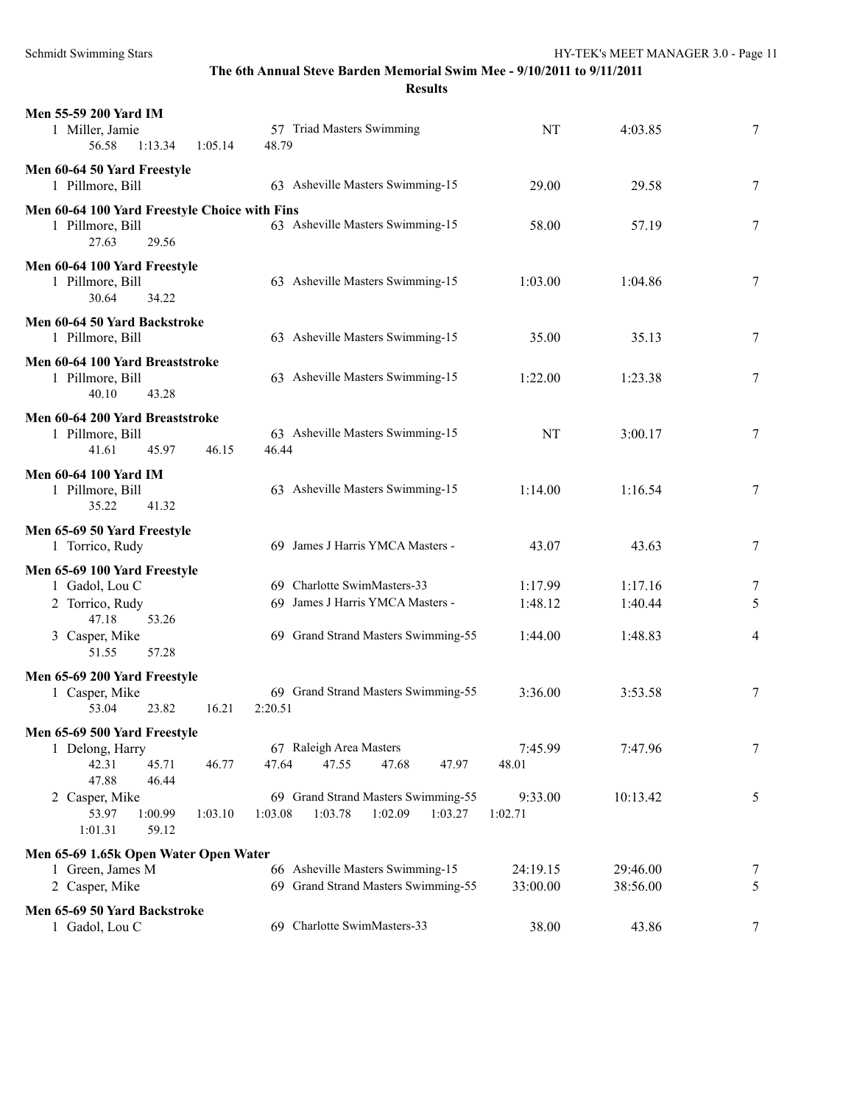**Results**

| Men 55-59 200 Yard IM<br>1 Miller, Jamie<br>56.58<br>1:13.34<br>1:05.14                                                 | 57 Triad Masters Swimming<br>48.79                                                                     | NT                            | 4:03.85                       | 7           |
|-------------------------------------------------------------------------------------------------------------------------|--------------------------------------------------------------------------------------------------------|-------------------------------|-------------------------------|-------------|
| Men 60-64 50 Yard Freestyle<br>1 Pillmore, Bill                                                                         | 63 Asheville Masters Swimming-15                                                                       | 29.00                         | 29.58                         | 7           |
| Men 60-64 100 Yard Freestyle Choice with Fins<br>1 Pillmore, Bill<br>27.63<br>29.56                                     | 63 Asheville Masters Swimming-15                                                                       | 58.00                         | 57.19                         | 7           |
| Men 60-64 100 Yard Freestyle<br>1 Pillmore, Bill<br>30.64<br>34.22                                                      | 63 Asheville Masters Swimming-15                                                                       | 1:03.00                       | 1:04.86                       | 7           |
| Men 60-64 50 Yard Backstroke<br>1 Pillmore, Bill                                                                        | 63 Asheville Masters Swimming-15                                                                       | 35.00                         | 35.13                         | 7           |
| Men 60-64 100 Yard Breaststroke<br>1 Pillmore, Bill<br>40.10<br>43.28                                                   | 63 Asheville Masters Swimming-15                                                                       | 1:22.00                       | 1:23.38                       | 7           |
| Men 60-64 200 Yard Breaststroke<br>1 Pillmore, Bill<br>41.61<br>45.97<br>46.15                                          | 63 Asheville Masters Swimming-15<br>46.44                                                              | NT                            | 3:00.17                       | 7           |
| <b>Men 60-64 100 Yard IM</b><br>1 Pillmore, Bill<br>35.22<br>41.32                                                      | 63 Asheville Masters Swimming-15                                                                       | 1:14.00                       | 1:16.54                       | 7           |
| Men 65-69 50 Yard Freestyle<br>1 Torrico, Rudy                                                                          | 69 James J Harris YMCA Masters -                                                                       | 43.07                         | 43.63                         | 7           |
| Men 65-69 100 Yard Freestyle<br>1 Gadol, Lou C<br>2 Torrico, Rudy<br>47.18<br>53.26<br>3 Casper, Mike<br>51.55<br>57.28 | 69 Charlotte SwimMasters-33<br>69 James J Harris YMCA Masters -<br>69 Grand Strand Masters Swimming-55 | 1:17.99<br>1:48.12<br>1:44.00 | 1:17.16<br>1:40.44<br>1:48.83 | 7<br>5<br>4 |
| Men 65-69 200 Yard Freestyle<br>1 Casper, Mike<br>23.82<br>53.04<br>16.21                                               | 69 Grand Strand Masters Swimming-55<br>2:20.51                                                         | 3:36.00                       | 3:53.58                       | 7           |
| Men 65-69 500 Yard Freestyle<br>1 Delong, Harry<br>42.31<br>45.71<br>46.77<br>47.88<br>46.44                            | 67 Raleigh Area Masters<br>47.64<br>47.55<br>47.68<br>47.97                                            | 7:45.99<br>48.01              | 7:47.96                       | $\tau$      |
| 2 Casper, Mike<br>53.97<br>1:00.99<br>1:03.10<br>1:01.31<br>59.12                                                       | 69 Grand Strand Masters Swimming-55<br>1:03.08<br>1:03.78<br>1:02.09<br>1:03.27                        | 9:33.00<br>1:02.71            | 10:13.42                      | 5           |
| Men 65-69 1.65k Open Water Open Water<br>1 Green, James M<br>2 Casper, Mike                                             | 66 Asheville Masters Swimming-15<br>69 Grand Strand Masters Swimming-55                                | 24:19.15<br>33:00.00          | 29:46.00<br>38:56.00          | 7<br>5      |
| Men 65-69 50 Yard Backstroke<br>1 Gadol, Lou C                                                                          | 69 Charlotte SwimMasters-33                                                                            | 38.00                         | 43.86                         | $\tau$      |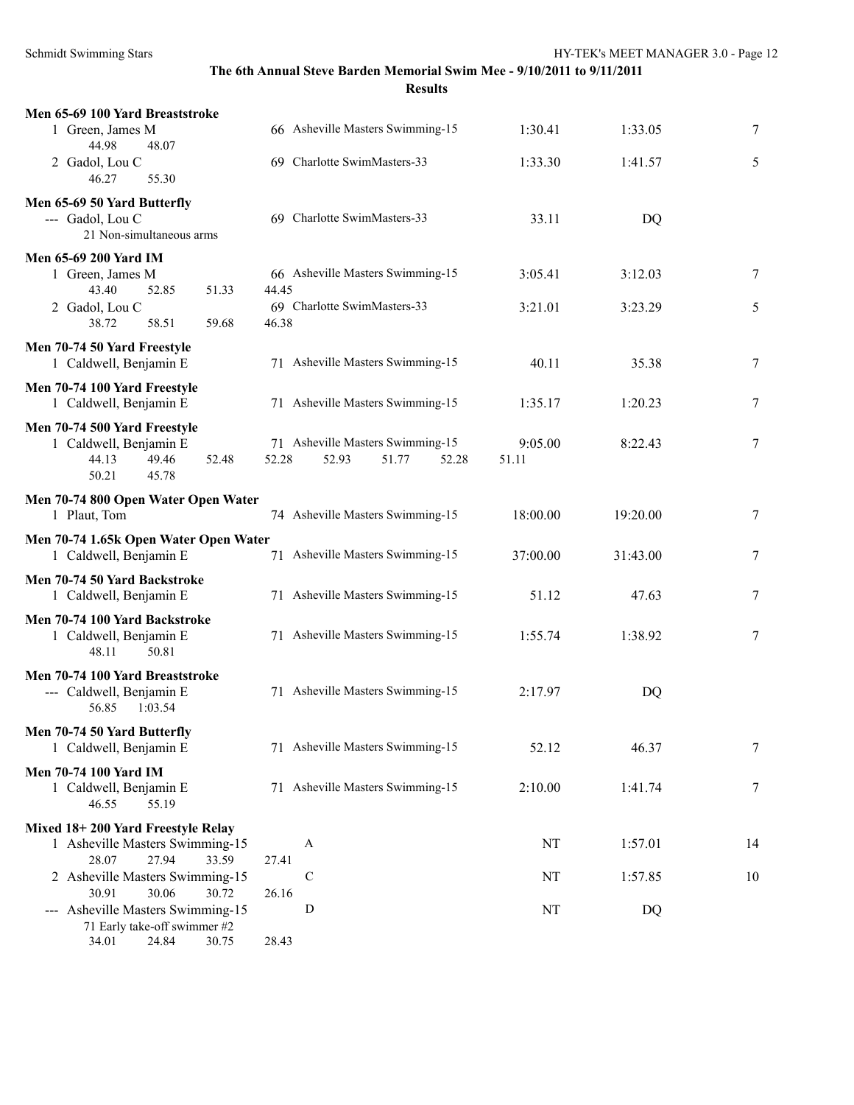| Men 65-69 100 Yard Breaststroke                                           |       |                                  |          |           |    |
|---------------------------------------------------------------------------|-------|----------------------------------|----------|-----------|----|
| 1 Green, James M<br>44.98<br>48.07                                        |       | 66 Asheville Masters Swimming-15 | 1:30.41  | 1:33.05   | 7  |
| 2 Gadol, Lou C<br>46.27<br>55.30                                          |       | 69 Charlotte SwimMasters-33      | 1:33.30  | 1:41.57   | 5  |
| Men 65-69 50 Yard Butterfly                                               |       |                                  |          |           |    |
| --- Gadol, Lou C<br>21 Non-simultaneous arms                              |       | 69 Charlotte SwimMasters-33      | 33.11    | <b>DQ</b> |    |
| Men 65-69 200 Yard IM                                                     |       |                                  |          |           |    |
| 1 Green, James M<br>43.40<br>52.85<br>51.33                               | 44.45 | 66 Asheville Masters Swimming-15 | 3:05.41  | 3:12.03   | 7  |
| 2 Gadol, Lou C<br>38.72<br>58.51<br>59.68                                 | 46.38 | 69 Charlotte SwimMasters-33      | 3:21.01  | 3:23.29   | 5  |
|                                                                           |       |                                  |          |           |    |
| Men 70-74 50 Yard Freestyle<br>1 Caldwell, Benjamin E                     |       | 71 Asheville Masters Swimming-15 | 40.11    | 35.38     | 7  |
| Men 70-74 100 Yard Freestyle                                              |       |                                  |          |           |    |
| 1 Caldwell, Benjamin E                                                    |       | 71 Asheville Masters Swimming-15 | 1:35.17  | 1:20.23   | 7  |
| Men 70-74 500 Yard Freestyle                                              |       |                                  |          |           |    |
| 1 Caldwell, Benjamin E                                                    |       | 71 Asheville Masters Swimming-15 | 9:05.00  | 8:22.43   | 7  |
| 44.13<br>49.46<br>52.48<br>50.21<br>45.78                                 | 52.28 | 52.93<br>51.77<br>52.28          | 51.11    |           |    |
|                                                                           |       |                                  |          |           |    |
| Men 70-74 800 Open Water Open Water                                       |       |                                  |          |           |    |
| 1 Plaut, Tom                                                              |       | 74 Asheville Masters Swimming-15 | 18:00.00 | 19:20.00  | 7  |
| Men 70-74 1.65k Open Water Open Water                                     |       |                                  |          |           |    |
| 1 Caldwell, Benjamin E                                                    |       | 71 Asheville Masters Swimming-15 | 37:00.00 | 31:43.00  | 7  |
| Men 70-74 50 Yard Backstroke<br>1 Caldwell, Benjamin E                    |       | 71 Asheville Masters Swimming-15 | 51.12    | 47.63     | 7  |
|                                                                           |       |                                  |          |           |    |
| Men 70-74 100 Yard Backstroke<br>1 Caldwell, Benjamin E<br>48.11<br>50.81 |       | 71 Asheville Masters Swimming-15 | 1:55.74  | 1:38.92   | 7  |
| Men 70-74 100 Yard Breaststroke                                           |       |                                  |          |           |    |
| --- Caldwell, Benjamin E<br>56.85<br>1:03.54                              |       | 71 Asheville Masters Swimming-15 | 2:17.97  | <b>DQ</b> |    |
| Men 70-74 50 Yard Butterfly                                               |       |                                  |          |           |    |
| 1 Caldwell, Benjamin E                                                    |       | 71 Asheville Masters Swimming-15 | 52.12    | 46.37     | 7  |
| <b>Men 70-74 100 Yard IM</b>                                              |       |                                  |          |           |    |
| 1 Caldwell, Benjamin E<br>46.55<br>55.19                                  |       | 71 Asheville Masters Swimming-15 | 2:10.00  | 1:41.74   | 7  |
|                                                                           |       |                                  |          |           |    |
| Mixed 18+200 Yard Freestyle Relay<br>1 Asheville Masters Swimming-15      |       | A                                | NT       | 1:57.01   | 14 |
| 28.07<br>27.94<br>33.59                                                   | 27.41 |                                  |          |           |    |
| 2 Asheville Masters Swimming-15                                           |       | $\mathbf C$                      | NT       | 1:57.85   | 10 |
| 30.91<br>30.06<br>30.72                                                   | 26.16 |                                  |          |           |    |
| --- Asheville Masters Swimming-15                                         |       | D                                | NT       | DQ        |    |
| 71 Early take-off swimmer #2                                              |       |                                  |          |           |    |
| 34.01<br>24.84<br>30.75                                                   | 28.43 |                                  |          |           |    |